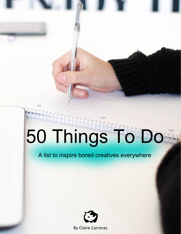## 50 Things To Do

 $\mathbb{R}$  Things To Domain To Domain To Domain To Domain To Domain To Domain To Domain To Domain To Domain To Domain To Domain To Domain To Domain To Domain To Domain To Domain To Domain To Domain To Domain To Domain To Do

A list to inspire bored creatives everywhere



[By Claire Carreras](http://www.whiterhinobags.com/blog)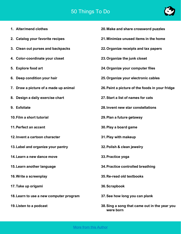## 50 Things To Do



- **1. Alter/mend clothes**
- **2. Catalog your favorite recipes**
- **3. Clean out purses and backpacks**
- **4. Color-coordinate your closet**
- **5. Explore food art**
- **6. Deep condition your hair**
- **7. Draw a picture of a made up animal**
- **8. Design a daily exercise chart**
- **9. Exfoliate**
- **10.Film a short tutorial**
- **11.Perfect an accent**
- **12.Invent a cartoon character**
- **13.Label and organize your pantry**
- **14.Learn a new dance move**
- **15.Learn another language**
- **16.Write a screenplay**
- **17.Take up origami**
- **18.Learn to use a new computer program**
- **19.Listen to a podcast**
- **20.Make and share crossword puzzles**
- **21.Minimize unused items in the home**
- **22.Organize receipts and tax papers**
- **23.Organize the junk closet**
- **24.Organize your computer files**
- **25.Organize your electronic cables**
- **26.Paint a picture of the foods in your fridge**
- **27.Start a list of names for cats**
- **28.Invent new star constellations**
- **29.Plan a future getaway**
- **30.Play a board game**
- **31.Play with makeup**
- **32.Polish & clean jewelry**
- **33.Practice yoga**
- **34.Practice controlled breathing**
- **35.Re-read old textbooks**
- **36.Scrapbook**
- **37.See how long you can plank**
- **38.Sing a song that came out in the year you were born**